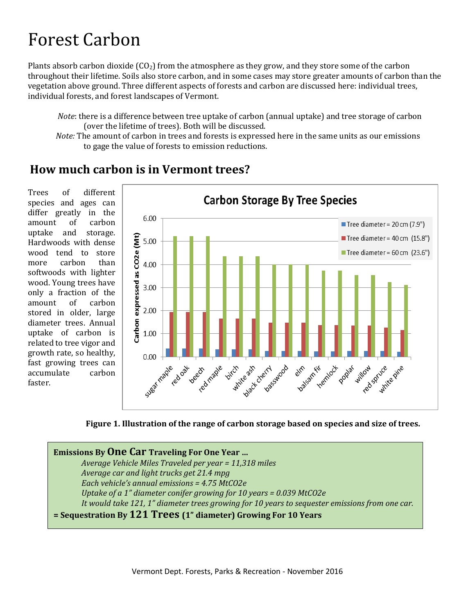# Forest Carbon

Plants absorb carbon dioxide  $(CO_2)$  from the atmosphere as they grow, and they store some of the carbon throughout their lifetime. Soils also store carbon, and in some cases may store greater amounts of carbon than the vegetation above ground. Three different aspects of forests and carbon are discussed here: individual trees, individual forests, and forest landscapes of Vermont.

*Note*: there is a difference between tree uptake of carbon (annual uptake) and tree storage of carbon (over the lifetime of trees). Both will be discussed.

*Note:* The amount of carbon in trees and forests is expressed here in the same units as our emissions to gage the value of forests to emission reductions.

### **How much carbon is in Vermont trees?**

Trees of different species and ages can differ greatly in the amount of carbon uptake and storage. Hardwoods with dense wood tend to store more carbon than softwoods with lighter wood. Young trees have only a fraction of the amount of carbon stored in older, large diameter trees. Annual uptake of carbon is related to tree vigor and growth rate, so healthy, fast growing trees can accumulate carbon faster.





**Emissions By One Car Traveling For One Year …**  *Average Vehicle Miles Traveled per year = 11,318 miles Average car and light trucks get 21.4 mpg Each vehicle's annual emissions = 4.75 MtCO2e Uptake of a 1" diameter conifer growing for 10 years = 0.039 MtCO2e It would take 121, 1" diameter trees growing for 10 years to sequester emissions from one car.*  **= Sequestration By 121 Trees (1" diameter) Growing For 10 Years**